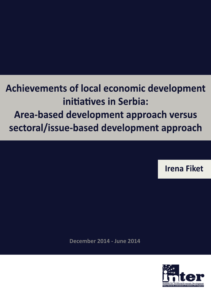# **Achievements of local economic development** initiatives in Serbia: Area-based development approach versus sectoral/issue-based development approach

**Irena Fiket** 

**December 2014 - June 2014** 

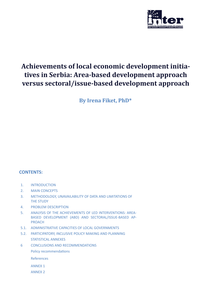

# **Achievements of local economic development initiatives in Serbia: Area-based development approach versus sectoral/issue-based development approach**

**By Irena Fiket, PhD\***

### **CONTENTS:**

- 1. INTRODUCTION
- 2. MAIN CONCEPTS
- 3. METHODOLOGY, UNAVAILABILITY OF DATA AND LIMITATIONS OF THE STUDY
- 4. PROBLEM DESCRIPTION
- 5. ANALYSIS OF THE ACHIEVEMENTS OF LED INTERVENTIONS: AREA-BASED DEVELOPMENT (ABD) AND SECTORAL/ISSUE-BASED AP-PROACH
- 5.1. ADMINISTRATIVE CAPACITIES OF LOCAL GOVERNMENTS
- 5.2. PARTICIPATORY, INCLUSIVE POLICY MAKING AND PLANNING STATISTICAL ANNEXES
- 6 CONCLUSIONS AND RECOMMENDATIONS Policy recommendations

References

- ANNEX 1
- ANNEX 2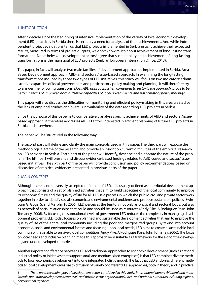#### 1. INTRODUCTION

After a decade since the beginning of intensive implementation of the variety of local economic development (LED) practices in Serbia there is certainly a need for analyses of their achievements. And while independent project evaluations tell us that LED projects implemented in Serbia usually achieve their expected results, measured in terms of project outputs, we don't know much about achievement of long-lasting transformations. Nonetheless, all development actors<sup>1</sup> agree that sustainability and achievement of long-lasting transformations is the main goal of LED projects (Serbian European Integration Office, 2013).

This paper, in fact, will analyse two main families of development approaches implemented in Serbia, Area-Based Development approach (ABD) and sectoral/issue-based approach. In examining the long-lasting transformations induced by those two types of LED initiatives, this study will focus on two indicators: administrative capacities of local governments and participatory policy making and planning. It will therefore try to answer the following questions: *Does ABD approach, when compared to sector/issue approach, prove to be better in terms of improved administrative capacities of local governments and participatory policy making?*

This paper will also discuss the difficulties for monitoring and efficient policy-making in this area created by the lack of empirical studies and overall unavailability of the data regarding LED projects in Serbia.

Since the purpose of this paper is to comparatively analyse specific achievements of ABD and sectoral/issuebased approach, it therefore addresses all LED actors interested in efficient planning of future LED projects in Serbia and elsewhere.

The paper will be structured in the following way.

The second part will define and clarify the main concepts used in this paper. The third part will expose the methodological frame of the research and provide an insight on current difficulties of the empirical research on LED activities in Serbia. Forth part of the paper will identify, describe and elaborate the nature of the problem. The fifth part will present and discuss evidence-based findings related to ABD-based and sector/issuebased initiatives. The sixth part of the paper will provide conclusion and policy recommendations based on discussion of empirical evidences presented in previous parts of the paper.

#### 2. MAIN CONCEPTS

Although there is no universally accepted definition of LED, it is usually defined as a territorial development approach that consists of a set of planned activities that aim to build capacities of the local community to improve its economic future and the quality of life for all. LED is a process in which the public, civil and private sector work together in order to identify social, economic and environmental problems and propose sustainable policies (Swinburn G, Goga, S. and Marphy, F., 2006). LED perceives the territory not only as physical and sectoral locus, but also as network of social relationships that could and should be used as resources (Andy Pike, A Rodriguez Pose, John Tomaney, 2006). By focusing on subnational levels of government LED reduces the complexity in managing development problems. LED today focuses on planned and sustainable development activities that aim to improve the quality of life of the entire local community including the poor and marginalized groups. By taking into account economic, social and environmental factors and focusing upon local needs, LED aims to create a sustainable local community that is able to survive global competition (Andy Pike, A Rodriguez Pose, John Tomaney, 2006). The focus on local needs and inclusive planning made this approach very suitable as a framework for the aid for the developing and underdeveloped countries.

Another important difference between LED and traditional approaches to economic development (such as national industrial policy or initiatives that support small and medium-sized enterprises) is that LED combines diverse methods to local economic development into one integrated holistic model. The fact that LED endorses different methods to local development gives rise to diffusion of variety of different LED approaches, both in theory and in practice.

*<sup>1</sup> There are three main types of development actors considered in this study: international donors (bilateral and multilateral), non-state development actors (civil and private sector organisations), local and national authorities including regional development agencies.*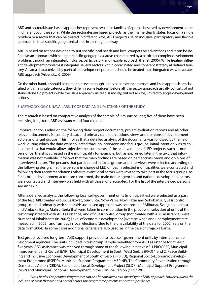ABD and sectoral/issue-based approaches represent two main families of approaches used by development actors in different countries so far. While the sectoral/issue based projects, as their name clearly states, focus on a single problem or a sector that can be treated in different ways, ABD projects use an inclusive, participatory and flexible approach to treat specific geographical area in an integrated way.

ABD is based on actions designed to suit specific local needs and local competitive advantages and it can be defined as an approach which targets specific geographical areas characterized by a particular complex development problem, through an integrated, inclusive, participatory and flexible approach (Harfst, 2006). While treating different development problems it integrates several sectors within coordinated and coherent strategy at defined territory. An area characterized by particular development problems should be treated in an integrated way, advocates ABD approach (Vrbensky, R., 2009).

On the other hand, it should be noted that, even though in this paper sector approach and issue approach are classified within a single category, they differ in some features. Before all, the sector approach usually consists of not stand-alone aid projects while the issue approach, instead, is mostly, but not always, limited to single development actions.

#### 3. METHODOLOGY, UNAVAILABILITY OF DATA AND LIMITATIONS OF THE STUDY

The research is based on comparative analysis of the sample of 9 municipalities; five of them have been receiving long-term ABD assistance and four did not.

Empirical analysis relies on the following data: project documents, project evaluation reports and all other relevant documents (secondary data), and primary data (perceptions, views and opinions of development actors and target groups). This implies that a detailed analysis of the documents was followed by the field work, during which the data were collected through interviews and focus groups. Initial intention was to collect the data that would allow objective measurements of the achievements of LED projects, such as numbers of partnerships created in the municipality for example, but, as explained later in the text, that information was not available. It follows that the main findings are based on perceptions, views and opinions of interviewed actors. The persons that participated in focus groups and interviews were selected according to the following design: first, the persons in charge of LED offices in selected municipalities were contacted and following their recommendations other relevant local actors were invited to take part in the focus groups. As far as other development actors are concerned, the main donor agencies and national development actors were contacted and interview was held with all those who accepted. For the list of the interviewed persons see Annex 2.

After a detailed analysis, the following local self-government units (municipalities) were selected as a part of the test, ABD treated group: Leskovac, Surdulica, Nova Varoš, Novi Pazar and Sokobanja. Quasi control group, treated primarily with sectoral/issue-based approach was composed of Alibunar, Svilajnac, Loznica and Vrnjačka Banja. Main criteria that were taken in consideration in the process of selection of units of the test group (treated with ABD assistance) and of quasi control group (not treated with ABD assistance) were: Number of inhabitants (in 2002); Level of economic development (average wage and unemployment rate measured in 2002); and Turnout in local elections (due to the unavailability of the data for 2002 I rely on the data from 2004). In some cases additional criteria are also used, as in the case of Vrnjačka Banja.

Test group received long-term ABD support provided to local self-government units by international development agencies. The units included in test group sample benefited from ABD assistance for at least five years. ABD assistance was received through some of the following initiatives: EU PROGRES, Municipal Improvement and Revival (MIR), Municipal Development in South West Serbia (PRO) 1 and 2, Peace Building and Inclusive Economic Development of South of Serbia (PBILD), Regional Socio-Economic Development Programme (RSEDP), Municipal Support Programme (MSP NE), The Community Revitalization through Democratic Action (CRDA), Sustainable Local Development Project (SLDP), Municipal Support Programme (MSP) and Municipal Economic Development in the Danube Region (GIZ-KWD).<sup>2</sup>

*2 Cross-Border Cooperation Programmes can also be considered as a special type of ABD approach. However, due to the inclusion of areas that are not a part of Serbia, this programme presents important specificities.*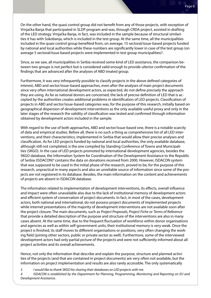On the other hand, the quasi control group did not benefit from any of those projects, with exception of Vrnjačka Banja that participated in SLDP program and was, through CRDA project, assisted in drafting of the LED strategy. Vrnjačka Banja, in fact, was included in the sample because of structural similarities it has with Sokobanja, which is included in the test group. At the same time, all the municipalities included in the quasi control group benefited from, on average, 15 sectoral/issue-based projects funded by national and local authorities while these numbers are significantly lower in case of the test group (on average 5 sectoral/issue based projects were implemented in test group municipalities)<sup>3</sup>.

Since, as we saw, all municipalities in Serbia received some kind of LED assistance, the comparison between two groups is not perfect but is considered valid enough to provide ulterior confirmation of the findings that are advanced after the analyses of ABD treated group.

Furthermore, it was very infrequently possible to classify projects in the above defined categories of interest, ABD and sector/issue-based approaches, even after the analyses of main project documents since very often international development actors, as expected, do not define precisely the approach they are using. As far as national donors are concerned, the lack of precise definition of LED that is accepted by the authorities creates additional problems in identification of LED projects. Classification of projects in ABD and sector/issue-based categories was, for the purpose of this research, initially based on geographical dispersion of development interventions as the only available useful proxy and only in the later stages of the research the validity of classification was tested and confirmed through information obtained by development actors included in the sample.

With regard to the use of both approaches, ABD and sector/issue-based one, there is a notable scarcity of data and empirical studies. Before all, there is no such a thing as comprehensive list of all LED interventions, and their characteristics, implemented in Serbia that would allow their precise analyses and classification. As for LED projects funded by national and local authorities, the only available database, although still not completed, is the one compiled by Standing Conference of Towns and Municipalities (SKGO). In the case of LED projects promoted by international development agencies, besides the SKGO database, the Information System for Coordination of the Development Assistance to the Republic of Serbia (ISDACON)<sup>4</sup> contains the data on donations received from 2000. However, ISDACON system that was supposed to be used in the initial phase of the research, proved to be, for the purpose of this research, unpractical in many aspects and also an unreliable source of information since some of the projects are not registered in its database. Besides, the main information on the content and achievements of projects are absent in ISDACON database.

The information related to implementation of development interventions, its effects, overall influence and impact were often unavailable also due to the lack of institutional memory of development actors and efficient system of conservation of project documents. In fact, in most of the cases, development actors, both national and international, do not possess project documents of implemented projects while Internet presentations of the majority of development interventions are not available soon after the project closure. The main documents, such as *Project Proposals, Project Fiche* or *Terms of Reference*  that provide a detailed description of the purpose and structure of the interventions are also in many cases absent. At the same time, due to the frequent fluctuation of workforce within donor organisations and agencies as well as within self-government units, their institutional memory is very weak. Once the project is finished, its staff moves to different organisations or positions, very often changing the working field (joining other sectors, public or private sector as well). Furthermore, some of the interviewed development actors had only partial picture of the projects and were not sufficiently informed about all project activities and its overall achievements.

Hence, not only the information that describe and explain the purpose, structure and planned activities of the projects (and that are contained in project documents) are very often not available, but the information on project implementation and results are also rarely accessible. The only systematically

*3 I would like to thank SKGO for sharing their databases on LED projects with me.*

*4 ISDACON is established by the Department for Planning, Programming, Monitoring and Reporting on EU and Development Assistance.*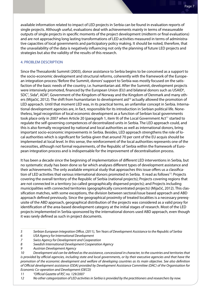available information related to impact of LED projects in Serbia can be found in evaluation reports of single projects. Although useful, evaluations deal with achievements mainly in terms of measureable outputs of single projects in specific moments of the project development (midterm or final evaluations) and are not approaching long lasting transformations of LED activities measured in terms of administrative capacities of local governments and participatory policy making. It should be noted, therefore, that the unavailability of the data is negatively influencing not only the planning of future LED projects and strategies but also the validity of the results of this research.

#### 4. PROBLEM DESCRIPTION

Since the Thessaloniki Summit (2003), donor assistance to Serbia begins to be conceived as a support to the socio-economic development and structural reforms, coherently with the framework of the European integration process.<sup>5</sup>Before the Summit, donors' support to Serbia was mostly focused on the satisfaction of the basic needs of the country, i.e. humanitarian aid. After the Summit, development projects were intensively promoted, financed by the European Union (EU) and bilateral donors such as USAID<sup>6</sup>, SDC<sup>7</sup>, Sida<sup>8</sup>, ADA<sup>9</sup>, Government of the Kingdom of Norway and the Kingdom of Denmark and many others (Mijačić, 2012). The shift from humanitarian to development aid<sup>10</sup> actually allowed the promotion of LED approach. Until that moment LED was, in its practical terms, an unfamiliar concept in Serbia. International development agencies are, in fact, responsible for its introduction in Serbian political life. Nonetheless, legal recognition of local economic development as a function of Serbian local governments took place only in 2007 when Article 20 (paragraph 1, item 9) of the Local Government Act<sup>11</sup> started to regulate the self-governing competences of decentralized units in Serbia. The LED approach could, and this is also formally recognized by national and local authorities as well as international donors, bring important socio-economic improvements in Serbia. Besides, LED approach strengthens the role of local authorities which is significant for Serbia given that around 70 per cent of the EU acquis should be implemented at local level. In this sense, the reinforcement of the local authorities represents one of the necessities, although not formal requirements, of the Republic of Serbia within the framework of European integration process and is indispensable for the improvement of decentralisation process.

It has been a decade since the beginning of implementation of different LED interventions in Serbia, but no systematic study has been done so far which analyses different types of development assistance and their achievements. The only available empirical study that approaches this issue offers us a classification of LED activities that various international donors promoted in Serbia. It read as follows<sup>12</sup>: Projects covering the overall territory of the Republic of Serbia (national projects); Projects covering regions that are not connected in a territory (so called geographically dispersed projects); and Projects including municipalities with connected territories (geographically concentrated projects) (Mijačić, 2012). This classification matches, with some exceptions, the division between sectoral/issue based approach and ABD approach defined previously. Since the geographical proximity of treated localities is a necessary prerequisite of the ABD approach, geographical distribution of the projects was considered as a valid proxy for identification of the area-based development category at the initial stages of research. Most of the LED projects implemented in Serbia sponsored by the international donors used ABD approach, even though it was rarely defined as such in project documents.

- *6 USA Agency for International Development*
- *7 Swiss Agency for Development and Cooperation*
- *8 Swedish International Development Cooperation Agency*
- *9 Austrian Development Agency*

*10 Development aid can be defined as the assistance, concessional in character, to the countries and territories that is provided by official agencies, including state and local governments, or by their executive agencies and that have the promotion of the economic development and welfare of developing countries as its main objective. See also definition of Official development assistance (ODA) provided by Development Assistance Committee (DAC) of the Organisation for Economic Co-operation and Development (OECD)*

*11 "Official Gazette of RS", no. 129/2007*

*12 No other categorization of LED activities in Serbia is provided by the practitioners and researchers by now.*

*<sup>5</sup> Serbian European Integration Office, (2011), Ten Years of Development Assistance to the Republic of Serbia*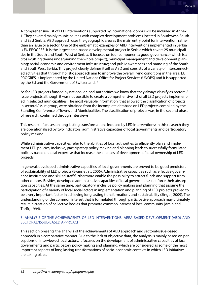A comprehensive list of LED interventions supported by international donors will be included in Annex 1. They covered mainly municipalities with complex development problems located in Southwest, South and East Serbia. ABD approach uses the geographic area as the main entry point for intervention, rather than an issue or a sector. One of the emblematic examples of ABD interventions implemented in Serbia is EU PROGRES. It is the largest area-based developmental project in Serbia which covers 25 municipalities in the South and South West of Serbia. It focuses on four components: good governance (which is a cross-cutting theme underpinning the whole project); municipal management and development planning; social, economic and environment infrastructure; and public awareness and branding of the South and South West Serbia. This project clearly defines itself as ABD and consists of a variety of interconnected activities that through holistic approach aim to improve the overall living conditions in the area. EU PROGRES is implemented by the United Nations Office for Project Services (UNOPS) and it is supported by the EU and the Government of Switzerland.13

As for LED projects funded by national or local authorities we know that they always classify as sectoral/ issue projects although it was not possible to create a comprehensive list of all LED projects implemented in selected municipalities. The most valuable information, that allowed the classification of projects in sectoral/issue group, were obtained from the incomplete database on LED projects compiled by the Standing Conference of Towns and Municipalities. The classification of projects was, in the second phase of research, confirmed through interviews.

This research focuses on long lasting transformations induced by LED interventions: In this research they are operationalised by two indicators: administrative capacities of local governments and participatory policy making.

While administrative capacities refer to the abilities of local authorities to efficiently plan and implement LED policies, inclusive, participatory policy making and planning leads to successfully formulated policies based on local expertise that increase the chances of development of local ownership of LED projects.

In general, developed administrative capacities of local governments are proved to be good predictors of sustainability of LED projects (Evans et al., 2006). Administrative capacities such as effective governance institutions and skilled staff furthermore enable the possibility to attract funds and support from other donors. Besides, developed administrative capacities of local governments reinforce their absorption capacities. At the same time, participatory, inclusive policy making and planning that assume the participation of a variety of local social actors in implementation and planning of LED projects proved to be a very important factor in achieving long lasting transformations and sustainability (Singer, 2009). The understanding of the common interest that is formulated through participative approach may ultimately result in creation of collective bodies that promote common interest of local community (Amin and Thrift, 1994).

#### 5. ANALYSIS OF THE ACHIEVEMENTS OF LED INTERVENTIONS: AREA-BASED DEVELOPMENT (ABD) AND SECTORAL/ISSUE-BASED APPROACH

This section presents the analysis of the achievements of ABD approach and sectoral/issue-based approach in a comparative manner. Due to the lack of objective data, the analysis is mainly based on perceptions of interviewed local actors. It focuses on the development of administrative capacities of local governments and participatory policy making and planning, which are considered as some of the most important aspects of long lasting transformations of socio-economic contexts in which LED initiatives are taking place.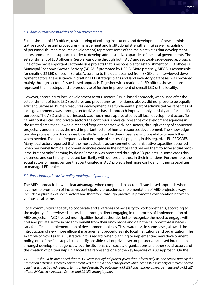#### *5.1. Administrative capacities of local governments*

Establishment of LED offices, restructuring of existing institutions and development of new administrative structures and procedures (management and institutional strengthening) as well as training of personnel (human resource development) represent some of the main activities that development actors promote and support in order to develop administrative capacities of the local governments. The establishment of LED offices in Serbia was done through both, ABD and sectoral/issue-based approach. One of the most important sectoral/issue projects that is responsible for establishment of LED offices is Municipal Economic Growth Activity (MEGA)<sup>14</sup> promoted by USAID. More precisely, MEGA is responsible for creating 32 LED offices in Serbia. According to the data obtained from SKGO and interviewed development actors, the assistance in drafting LED strategic plans and land inventory databases was provided mainly through sectoral/issue-based approach. Together with creation of LED offices, those actions represent the first steps and a prerequisite of further improvement of overall LED of the locality.

However, according to local development actors, sectoral/issue-based approach, when used after the establishment of basic LED structures and procedures, as mentioned above, did not prove to be equally efficient. Before all, human resources development, as a fundamental part of administrative capacities of local governments, was, through sectoral/issue-based approach improved only partially and for specific purposes. The ABD assistance, instead, was much more appreciated by all local development actors (local authorities, civil and private sector).The continuous physical presence of development agencies in the treated area that allowed direct and frequent contact with local actors, through variety of connected projects, is underlined as the most important factor of human resources development. The knowledgetransfer process from donors was basically facilitated by their closeness and possibility to reach them when needed. The most frequently cited example of successful projects, in this regard, is EU PROGRES. Many local actors reported that the most valuable advancement of administrative capacities occurred when personnel from development agencies came in their offices and helped them to solve actual problems. But not only "learning by doing" process was promoted through ABD projects, in some cases this closeness and continuity increased familiarity with donors and trust in their intentions. Furthermore, the social actors of municipalities that participated in ABD projects feel more confident in their capabilities to manage LED projects.

#### *5.2. Participatory, inclusive policy making and planning*

The ABD approach showed clear advantage when compared to sectoral/issue-based approach when it comes to promotion of inclusive, participatory procedures. Implementation of ABD projects always includes a plurality of social actors and therefore, through practice, it promotes collaboration between various local actors.

Local community's capacity to cooperate and awareness of necessity to work together is, according to the majority of interviewed actors, built through direct engaging in the process of implementation of ABD projects. In ABD treated municipalities, local authorities better recognize the need to engage with civil and private sector in order to benefit from their knowledge and gain their support that is necessary for efficient implementation of development policies. This awareness, in some cases, allowed the introduction of new, more efficient management procedures into local institutions and organization. The example of Novi Pazar is illustrative in this regard; when planning or implementing new development policy, one of the first steps is to identify possible civil or private sector partners. Increased interaction amongst development agencies, local institutions, civil society organizations and other social actors and the creation of partnerships in a local area represents one of the key legacies of ABD approach. On the

*14 It should be mentioned that MEGA represent hybrid project given that it focus only on one sector, namely the promotion of business friendly environment was the main goal of the project while it consisted in variety of interconnected activities within treated areas. In terms of hard results, the outcome –of MEGA can, among others, be measured by 32 LED offices, 24 Citizen Assistance Centers and 23 LED strategic plans.*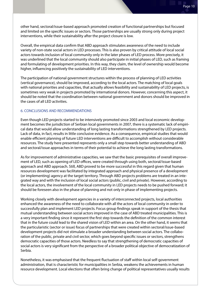other hand, sectoral/issue-based approach promoted creation of functional partnerships but focused and limited on the specific issues or sectors. Those partnerships are usually strong only during project interventions, while their sustainability after the project closure is low.

Overall, the empirical data confirm that ABD approach stimulates awareness of the need to include variety of non-state social actors in LED processes. This is also proven by critical attitude of local social actors towards inclusion of local community only in the later phases of LED process. More precisely, it was underlined that the local community should also participate in initial phases of LED, such as framing and formulating of development priorities. In this way, they claim, the level of ownership would become higher, influencing positively the sustainability of LED interventions.

The participation of national government structures within the process of planning of LED activities (vertical governance), should be improved, according to the local actors. The matching of local goals with national priorities and capacities, that actually allows feasibility and sustainability of LED projects, is sometimes very weak in projects promoted by international donors. However, concerning this aspect, it should be noted that the coordination between national government and donors should be improved in the cases of all LED activities.

#### 6. CONCLUSIONS AND RECOMMENDATIONS

Even though LED projects started to be intensively promoted since 2003 and local economic development becomes the jurisdiction of Serbian local governments in 2007, there is a systematic lack of empirical data that would allow understanding of long lasting transformations strengthened by LED projects. Lack of data, in fact, results in little conclusive evidence. As a consequence, empirical studies that would enable efficient planning of future LED interventions are difficult to accomplish without considerable resources. The study here presented represents only a small step towards better understanding of ABD and sectoral/issue approaches in terms of their potential to achieve the long lasting transformations.

As for improvement of administrative capacities, we saw that the basic prerequisites of overall improvement of LED, such as opening of LED offices, were created through using both, sectoral/issue-based approach and ABD approach. Still, ABD proved to be more successful in this regard given that human resources development was facilitated by integrated approach and physical presence of a development (or implementing) agency at the target territory. Through ABD projects problems are treated in an integrated way and with the inclusion of local social actors (public, civil and private). However, according to the local actors, the involvement of the local community in LED projects needs to be pushed forward; it should be foreseen also in the phase of planning and not only in phase of implementing projects.

Working closely with development agencies in a variety of interconnected projects, local authorities enhanced the awareness of the need to collaborate with all the actors of local community in order to successfully plan and implement LED projects. Focus group findings speak in support of the thesis that mutual understanding between social actors improved in the case of ABD treated municipalities. This is a very important finding since it represent the first step towards the definition of the common interest that in the future could lead to the shared vision of LED within an area. On the other hand, it seems that the particularistic (sector or issue) focus of partnerships that were created within sectoral/issue-based development projects did not stimulate a broader understanding between social actors. The collaboration of the public, private and civil sector, which goes beyond specific issues or sectors, strengthens democratic capacities of those actors. Needless to say that strengthening of democratic capacities of social actors is very significant from the perspective of a broader political objective of democratization of Serbia.

Nonetheless, it was emphasised that the frequent fluctuation of staff within local self-government administration, that is characteristic for municipalities in Serbia, weakens the achievements in human resource development. Local elections that often bring change of political representatives usually results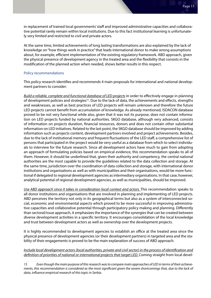in replacement of trained local governments' staff and improved administrative capacities and collaborative potential rarely remain within local institutions. Due to this fact institutional learning is unfortunately very limited and restricted to civil and private actors.

At the same time, limited achievements of long lasting transformations are also explained by the lack of knowledge on "how things work in practice" that leads international donor to make wrong assumptions about, for example, efficient implementation of the existing regulatory framework. ABD approach, given the physical presence of development agency in the treated area and the flexibility that consists in the modification of the planned action when needed, shows better results in this respect.

#### Policy recommendations

This policy research identifies and recommends 4 main proposals for international and national development partners to consider:

*Build a reliable, complete and functional database of LED projects* in order to effectively engage in planning of development policies and strategies<sup>15</sup>. Due to the lack of data, the achievements and effects, strengths and weaknesses, as well as best practices of LED projects will remain unknown and therefore the future LED projects cannot benefit from accumulation of knowledge. As already mentioned, ISDACON database proved to be not very functional while also, given that it was not its purpose, does not contain information on LED projects funded by national authorities. SKGO database, although very advanced, consists of information on projects duration, financial resources, donors and does not contain other substantial information on LED initiatives. Related to the last point, the SKGO database should be improved by adding information such as projects content, development partners involved and project achievements. Besides, due to the lack of institutional memory and frequent fluctuations of the LED staff, a comprehensive list of persons that participated in the project would be very useful as a database from which to select individuals to interview for the future research. Since all development actors have much to gain from adopting an approach of formulating policies based on empirical evidence, this recommendation speaks to all of them. However, it should be underlined that, given their authority and competency, the central national authorities are the most capable to provide the guidelines related to the data collection and storage. At the same time, jurisdiction over the coordination of data collection and storage, with international donor institutions and organisations as well as with municipalities and their organisations, would be more functional if delegated to regional development agencies as intermediary organisations. In that case, however, analytical potential of regional development agencies, as well as municipalities, should be improved.

*Use ABD approach since it takes in consideration local context and actors.* This recommendation speaks to all donor institutions and organisations that are involved in planning and implementing of LED projects. ABD perceives the territory not only in its geographical terms but also as a system of interconnected social, economic and environmental aspects which proved to be more successful in improving administrative capacities and collaborative potential through participatory policy making and planning. Differently than sectoral/issue approach, it emphasizes the importance of the synergies that can be created between diverse development activities in a specific territory. It encourages consolidation of the local knowledge and trust between development actors as well as ownership over the development projects.

It is highly recommended to development agencies to establish an office at the treated area since the physical presence of development agencies (or their development partners) in targeted area and the stability of their engagements is proved to be the main explanation of success of ABD approach.

*Include local development actors (local authorities, private and civil sector) in the process of identification and definition of priorities of national or international projects that target LED.* Coming straight from local devel-

*<sup>15</sup> Even though the main purpose of this research was to compare main approaches of LED in terms of their achievements, this recommendation is considered as the most significant given the severe shortcomings that, due to the lack of data, influence empirical research of this topic in Serbia.*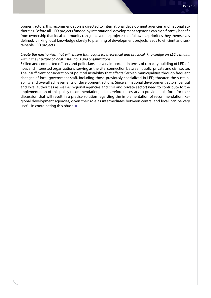opment actors, this recommendation is directed to international development agencies and national authorities. Before all, LED projects funded by international development agencies can significantly benefit from ownership that local community can gain over the projects that follow the priorities they themselves defined. Linking local knowledge closely to planning of development projects leads to efficient and sustainable LED projects.

#### *Create the mechanism that will ensure that acquired, theoretical and practical, knowledge on LED remains within the structure of local institutions and organizations*

Skilled and committed officers and politicians are very important in terms of capacity building of LED offices and interested organizations, serving as the vital connection between public, private and civil sector. The insufficient consideration of political instability that affects Serbian municipalities through frequent changes of local government staff, including those previously specialized in LED, threaten the sustainability and overall achievements of development actions. Since all national development actors (central and local authorities as well as regional agencies and civil and private sector) need to contribute to the implementation of this policy recommendation, it is therefore necessary to provide a platform for their discussion that will result in a precise solution regarding the implementation of recommendation. Regional development agencies, given their role as intermediates between central and local, can be very useful in coordinating this phase.  $\blacksquare$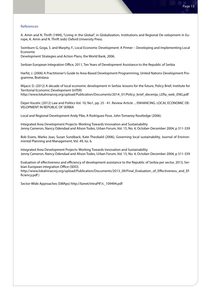#### References

A. Amin and N. Thrift (1994), "Living in the Global", in Globalization, Institutions and Regional De-velopment in Europe, A. Amin and N. Thrift (eds) Oxford University Press.

Swinburn G, Goga, S. and Marphy, F., Local Economic Development: A Primer – Developing and Implementing Local Economic

Development Strategies and Action Plans, the World Bank, 2006.

Serbian European Integration Office, 2011, Ten Years of Development Assistance to the Republic of Serbia

Harfst, J. (2006) A Practitioner's Guide to Area-Based Development Programming, United Nations Development Programme, Bratislava

Mijacic D. (2012) A decade of local economic development in Serbia: lessons for the future, Policy Brief, Institute for Territorial Economic Development (InTER)

http://www.lokalnirazvoj.org/upload/Publication/Documents/2014\_01/Policy\_brief\_decenija\_LERa\_web\_ENG.pdf

Dejan Vucetic (2012) Law and Politics Vol. 10, No1, pp. 25 - 41. Review Article ... ENHANCING. LOCAL ECONOMIC DE-VELOPMENT IN REPUBLIC OF SERBIA

Local and Regional Development Andy Pike, A Rodriguez Pose, John Tomaney Routledge (2006).

Integrated Area Development Projects: Working Towards Innovation and Sustainability Jenny Cameron, Nancy Odendaal and Alison Todes, Urban Forum, Vol. 15, No. 4, October-December 2004, p 311-339

Bob Evans, Marko Joas, Susan Sundback, Kate Theobald (2006), Governing local sustainability, Journal of Environmental Planning and Management, Vol. 49, Iss. 6.

Integrated Area Development Projects: Working Towards Innovation and Sustainability Jenny Cameron, Nancy Odendaal and Alison Todes, Urban Forum, Vol. 15, No. 4, October-December 2004, p 311-339

Evaluation of effectiveness and efficiency of development assistance to the Republic of Serbia per sector, 2013, Serbian European Integration Office (SEIO).

http://www.lokalnirazvoj.org/upload/Publication/Documents/2013\_09/Final\_Evaluation\_of\_Effectiveness\_and\_Efficiency.pdf )

Sector-Wide Approaches (SWAps) http://bznet/IntraPIF/c\_109494.pdf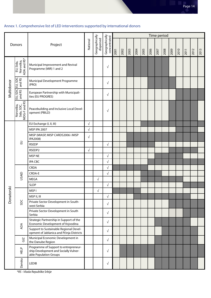# Annex 1. Comprehensive list of LED interventions supported by international donors

| Donors     |                                         |                                                                                                          |            |                             |                                | Time period |      |      |      |      |      |      |      |      |      |      |      |      |
|------------|-----------------------------------------|----------------------------------------------------------------------------------------------------------|------------|-----------------------------|--------------------------------|-------------|------|------|------|------|------|------|------|------|------|------|------|------|
|            |                                         | Project                                                                                                  |            | Geographically<br>dispersed | Geographically<br>concentrated | 2001        | 2002 | 2003 | 2004 | 2005 | 2006 | 2007 | 2008 | 2009 | 2010 | 2011 | 2012 | 2013 |
| Multidonor | Norveška,<br>ADA and RS*<br>EU, Sida,   | Municipal Improvement and Revival<br>Programme (MIR) 1 and 2                                             |            |                             | $\sqrt{}$                      |             |      |      |      |      |      |      |      |      |      |      |      |      |
|            | EU, SDC<br>and RS                       | Municipal Development Programme<br>(PRO)                                                                 |            |                             | $\sqrt{}$                      |             |      |      |      |      |      |      |      |      |      |      |      |      |
|            | EU, SDC<br>and RS                       | European Partnership with Municipali-<br>ties (EU PROGRES)                                               |            |                             | $\sqrt{}$                      |             |      |      |      |      |      |      |      |      |      |      |      |      |
|            | Norveška,<br>Sida, SDC,<br>MDG-F and RS | Peacebuilding and Inclusive Local Devel-<br>opment (PBILD)                                               |            |                             | $\sqrt{}$                      |             |      |      |      |      |      |      |      |      |      |      |      |      |
|            |                                         | EU Exchange (I, II, III)                                                                                 | $\sqrt{ }$ |                             |                                |             |      |      |      |      |      |      |      |      |      |      |      |      |
|            |                                         | <b>MSP IPA 2007</b>                                                                                      | $\sqrt{ }$ |                             |                                |             |      |      |      |      |      |      |      |      |      |      |      |      |
|            | $\Xi$                                   | MISP (MIASP, MISP CARDS2006 i MISP<br>IPA2008)                                                           | $\sqrt{ }$ |                             |                                |             |      |      |      |      |      |      |      |      |      |      |      |      |
|            |                                         | <b>RSEDP</b>                                                                                             |            |                             | $\sqrt{}$                      |             |      |      |      |      |      |      |      |      |      |      |      |      |
|            |                                         | RSEDP2                                                                                                   | $\sqrt{ }$ |                             |                                |             |      |      |      |      |      |      |      |      |      |      |      |      |
|            |                                         | <b>MSP NE</b>                                                                                            |            |                             | $\sqrt{}$                      |             |      |      |      |      |      |      |      |      |      |      |      |      |
|            |                                         | <b>IPA CBC</b>                                                                                           |            |                             | $\sqrt{ }$                     |             |      |      |      |      |      |      |      |      |      |      |      |      |
|            | USAID                                   | <b>CRDA</b>                                                                                              |            |                             | $\sqrt{ }$                     |             |      |      |      |      |      |      |      |      |      |      |      |      |
|            |                                         | CRDA-E                                                                                                   |            |                             | $\sqrt{ }$                     |             |      |      |      |      |      |      |      |      |      |      |      |      |
| Donatorski |                                         | <b>MEGA</b>                                                                                              |            | $\sqrt{ }$                  |                                |             |      |      |      |      |      |      |      |      |      |      |      |      |
|            |                                         | <b>SLDP</b>                                                                                              |            |                             | $\sqrt{}$                      |             |      |      |      |      |      |      |      |      |      |      |      |      |
|            | <b>SDC</b>                              | MSP I                                                                                                    |            | $\sqrt{ }$                  |                                |             |      |      |      |      |      |      |      |      |      |      |      |      |
|            |                                         | MSP II, III                                                                                              |            |                             | $\sqrt{ }$                     |             |      |      |      |      |      |      |      |      |      |      |      |      |
|            |                                         | Private Sector Development in South-<br>west Serbia                                                      |            |                             | $\sqrt{}$                      |             |      |      |      |      |      |      |      |      |      |      |      |      |
|            |                                         | Private Sector Development in South<br>Serbia                                                            |            |                             | $\sqrt{ }$                     |             |      |      |      |      |      |      |      |      |      |      |      |      |
|            | ADA                                     | Strategic Partnership in Support of the<br>Economic Development of Vojvodina                             |            |                             | $\sqrt{ }$                     |             |      |      |      |      |      |      |      |      |      |      |      |      |
|            |                                         | Support to Sustainable Regional Devel-<br>opment of Jablanica and Pčinja Districts                       |            |                             | $\sqrt{}$                      |             |      |      |      |      |      |      |      |      |      |      |      |      |
|            | $\frac{N}{G}$                           | Municipal Economic Development in<br>the Danube Region                                                   |            |                             | $\sqrt{}$                      |             |      |      |      |      |      |      |      |      |      |      |      |      |
|            | 입<br>보                                  | Programme of Support to entrepreneur-<br>ship Development and Socially Vulner-<br>able Population Groups |            |                             | $\sqrt{ }$                     |             |      |      |      |      |      |      |      |      |      |      |      |      |
|            | Danska                                  | <b>LEDIB</b>                                                                                             |            |                             | $\sqrt{}$                      |             |      |      |      |      |      |      |      |      |      |      |      |      |

*\*RS - Vlada Republike Srbije*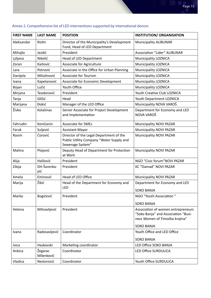| <b>FIRST NAME</b><br><b>LAST NAME</b><br><b>INSTITUTION/ ORGANISATION</b><br><b>POSITION</b><br>Director of the Municipality's Development<br>Aleksandar<br>Ristin<br><b>Municipality ALIBUNAR</b><br>Fund, Head of LED Department<br>President<br><b>Association "Lider" ALIBUNAR</b><br>Mihajlo<br>Jezdić<br>Nikolić<br>Ljiljana<br>Head of LED Department<br><b>Municipality LOZNICA</b><br><b>Municipality LOZNICA</b><br>Zoran<br>Kaitović<br>Associate for Agriculture<br>Associate in the Office for Urban Planning<br>Municipality LOZNICA<br>Petrović<br>Lara<br>Danijela<br>Milutinović<br><b>Associate for Tourism</b><br>Municipality LOZNICA<br>Kapetanović<br><b>Municipality LOZNICA</b><br>Associate for Economic Development<br>Ivana<br>Lučić<br>Youth Office<br><b>Municipality LOZNICA</b><br>Bojan<br>Teodorović<br>Youth Creative Club LOZNICA<br>Mirjana<br>President<br>Glišić<br>Tanja<br>Head<br>Youth Department LOZNICA<br>Municipality NOVA VAROŠ<br><b>Đokić</b><br>Marijana<br>Manager of the LED Office<br>Živko<br>Department for Economy and LED<br>Kolašinac<br>Senior Associate for Project Development<br>NOVA VAROŠ<br>and Implementation<br>Fahrudin<br>Koničanin<br><b>Associate for SMEs</b><br>Municipality NOVI PAZAR<br>Suljević<br>Municipality NOVI PAZAR<br>Faruk<br><b>Assistant Mayor</b><br>Ćorović<br>Director of the Legal Department of the<br><b>Municipality NOVI PAZAR</b><br>Rasim<br>Public Utility Company "Water Supply and<br>Sewerage System"<br>Deputy Head of Department for Protection<br>Malina<br>Plojović<br>Municipality NOVI PAZAR<br>at Work<br>NGO "Civic forum" NOVI PAZAR<br>Halilović<br>Alija<br>President<br>DH-Šarenka-<br>KC "Damad" NOVI PAZAR<br>Zibija<br>President<br>pić<br>Amela<br>Eminović<br>Head of LED Office<br><b>Municipality NOVI PAZAR</b><br>Žikić<br>Head of the Department for Economy and<br>Department for Economy and LED<br>Marija<br>LED<br><b>SOKO BANJA</b><br>NGO "Youth Association"<br>Marko<br>Bogićević<br>President<br><b>SOKO BANJA</b><br>Milisavljević<br>Helena<br>President<br>Association of women entrepreneurs<br>"Soko Banja" and Association "Busi-<br>ness Women of Timočka krajina"<br><b>SOKO BANJA</b><br>Youth Office and LED Office<br>Radosavljević<br>Coordinator<br>Ivana<br><b>SOKO BANJA</b><br>Haskovski<br>Marketing coordinator<br>LED Office SOKO BANJA<br>Ivica<br>Žegarac<br>Ankica<br>Coordinator<br>LED Office SURDULICA<br>Milenković<br>Vladica<br>Coordinator<br>Nestorović<br>Youth Office SURDULICA |  |  |  |  |  |  |  |  |  |
|------------------------------------------------------------------------------------------------------------------------------------------------------------------------------------------------------------------------------------------------------------------------------------------------------------------------------------------------------------------------------------------------------------------------------------------------------------------------------------------------------------------------------------------------------------------------------------------------------------------------------------------------------------------------------------------------------------------------------------------------------------------------------------------------------------------------------------------------------------------------------------------------------------------------------------------------------------------------------------------------------------------------------------------------------------------------------------------------------------------------------------------------------------------------------------------------------------------------------------------------------------------------------------------------------------------------------------------------------------------------------------------------------------------------------------------------------------------------------------------------------------------------------------------------------------------------------------------------------------------------------------------------------------------------------------------------------------------------------------------------------------------------------------------------------------------------------------------------------------------------------------------------------------------------------------------------------------------------------------------------------------------------------------------------------------------------------------------------------------------------------------------------------------------------------------------------------------------------------------------------------------------------------------------------------------------------------------------------------------------------------------------------------------------------------------------------------------------------------------------------------------------------------------------------------|--|--|--|--|--|--|--|--|--|
|                                                                                                                                                                                                                                                                                                                                                                                                                                                                                                                                                                                                                                                                                                                                                                                                                                                                                                                                                                                                                                                                                                                                                                                                                                                                                                                                                                                                                                                                                                                                                                                                                                                                                                                                                                                                                                                                                                                                                                                                                                                                                                                                                                                                                                                                                                                                                                                                                                                                                                                                                      |  |  |  |  |  |  |  |  |  |
|                                                                                                                                                                                                                                                                                                                                                                                                                                                                                                                                                                                                                                                                                                                                                                                                                                                                                                                                                                                                                                                                                                                                                                                                                                                                                                                                                                                                                                                                                                                                                                                                                                                                                                                                                                                                                                                                                                                                                                                                                                                                                                                                                                                                                                                                                                                                                                                                                                                                                                                                                      |  |  |  |  |  |  |  |  |  |
|                                                                                                                                                                                                                                                                                                                                                                                                                                                                                                                                                                                                                                                                                                                                                                                                                                                                                                                                                                                                                                                                                                                                                                                                                                                                                                                                                                                                                                                                                                                                                                                                                                                                                                                                                                                                                                                                                                                                                                                                                                                                                                                                                                                                                                                                                                                                                                                                                                                                                                                                                      |  |  |  |  |  |  |  |  |  |
|                                                                                                                                                                                                                                                                                                                                                                                                                                                                                                                                                                                                                                                                                                                                                                                                                                                                                                                                                                                                                                                                                                                                                                                                                                                                                                                                                                                                                                                                                                                                                                                                                                                                                                                                                                                                                                                                                                                                                                                                                                                                                                                                                                                                                                                                                                                                                                                                                                                                                                                                                      |  |  |  |  |  |  |  |  |  |
|                                                                                                                                                                                                                                                                                                                                                                                                                                                                                                                                                                                                                                                                                                                                                                                                                                                                                                                                                                                                                                                                                                                                                                                                                                                                                                                                                                                                                                                                                                                                                                                                                                                                                                                                                                                                                                                                                                                                                                                                                                                                                                                                                                                                                                                                                                                                                                                                                                                                                                                                                      |  |  |  |  |  |  |  |  |  |
|                                                                                                                                                                                                                                                                                                                                                                                                                                                                                                                                                                                                                                                                                                                                                                                                                                                                                                                                                                                                                                                                                                                                                                                                                                                                                                                                                                                                                                                                                                                                                                                                                                                                                                                                                                                                                                                                                                                                                                                                                                                                                                                                                                                                                                                                                                                                                                                                                                                                                                                                                      |  |  |  |  |  |  |  |  |  |
|                                                                                                                                                                                                                                                                                                                                                                                                                                                                                                                                                                                                                                                                                                                                                                                                                                                                                                                                                                                                                                                                                                                                                                                                                                                                                                                                                                                                                                                                                                                                                                                                                                                                                                                                                                                                                                                                                                                                                                                                                                                                                                                                                                                                                                                                                                                                                                                                                                                                                                                                                      |  |  |  |  |  |  |  |  |  |
|                                                                                                                                                                                                                                                                                                                                                                                                                                                                                                                                                                                                                                                                                                                                                                                                                                                                                                                                                                                                                                                                                                                                                                                                                                                                                                                                                                                                                                                                                                                                                                                                                                                                                                                                                                                                                                                                                                                                                                                                                                                                                                                                                                                                                                                                                                                                                                                                                                                                                                                                                      |  |  |  |  |  |  |  |  |  |
|                                                                                                                                                                                                                                                                                                                                                                                                                                                                                                                                                                                                                                                                                                                                                                                                                                                                                                                                                                                                                                                                                                                                                                                                                                                                                                                                                                                                                                                                                                                                                                                                                                                                                                                                                                                                                                                                                                                                                                                                                                                                                                                                                                                                                                                                                                                                                                                                                                                                                                                                                      |  |  |  |  |  |  |  |  |  |
|                                                                                                                                                                                                                                                                                                                                                                                                                                                                                                                                                                                                                                                                                                                                                                                                                                                                                                                                                                                                                                                                                                                                                                                                                                                                                                                                                                                                                                                                                                                                                                                                                                                                                                                                                                                                                                                                                                                                                                                                                                                                                                                                                                                                                                                                                                                                                                                                                                                                                                                                                      |  |  |  |  |  |  |  |  |  |
|                                                                                                                                                                                                                                                                                                                                                                                                                                                                                                                                                                                                                                                                                                                                                                                                                                                                                                                                                                                                                                                                                                                                                                                                                                                                                                                                                                                                                                                                                                                                                                                                                                                                                                                                                                                                                                                                                                                                                                                                                                                                                                                                                                                                                                                                                                                                                                                                                                                                                                                                                      |  |  |  |  |  |  |  |  |  |
|                                                                                                                                                                                                                                                                                                                                                                                                                                                                                                                                                                                                                                                                                                                                                                                                                                                                                                                                                                                                                                                                                                                                                                                                                                                                                                                                                                                                                                                                                                                                                                                                                                                                                                                                                                                                                                                                                                                                                                                                                                                                                                                                                                                                                                                                                                                                                                                                                                                                                                                                                      |  |  |  |  |  |  |  |  |  |
|                                                                                                                                                                                                                                                                                                                                                                                                                                                                                                                                                                                                                                                                                                                                                                                                                                                                                                                                                                                                                                                                                                                                                                                                                                                                                                                                                                                                                                                                                                                                                                                                                                                                                                                                                                                                                                                                                                                                                                                                                                                                                                                                                                                                                                                                                                                                                                                                                                                                                                                                                      |  |  |  |  |  |  |  |  |  |
|                                                                                                                                                                                                                                                                                                                                                                                                                                                                                                                                                                                                                                                                                                                                                                                                                                                                                                                                                                                                                                                                                                                                                                                                                                                                                                                                                                                                                                                                                                                                                                                                                                                                                                                                                                                                                                                                                                                                                                                                                                                                                                                                                                                                                                                                                                                                                                                                                                                                                                                                                      |  |  |  |  |  |  |  |  |  |
|                                                                                                                                                                                                                                                                                                                                                                                                                                                                                                                                                                                                                                                                                                                                                                                                                                                                                                                                                                                                                                                                                                                                                                                                                                                                                                                                                                                                                                                                                                                                                                                                                                                                                                                                                                                                                                                                                                                                                                                                                                                                                                                                                                                                                                                                                                                                                                                                                                                                                                                                                      |  |  |  |  |  |  |  |  |  |
|                                                                                                                                                                                                                                                                                                                                                                                                                                                                                                                                                                                                                                                                                                                                                                                                                                                                                                                                                                                                                                                                                                                                                                                                                                                                                                                                                                                                                                                                                                                                                                                                                                                                                                                                                                                                                                                                                                                                                                                                                                                                                                                                                                                                                                                                                                                                                                                                                                                                                                                                                      |  |  |  |  |  |  |  |  |  |
|                                                                                                                                                                                                                                                                                                                                                                                                                                                                                                                                                                                                                                                                                                                                                                                                                                                                                                                                                                                                                                                                                                                                                                                                                                                                                                                                                                                                                                                                                                                                                                                                                                                                                                                                                                                                                                                                                                                                                                                                                                                                                                                                                                                                                                                                                                                                                                                                                                                                                                                                                      |  |  |  |  |  |  |  |  |  |
|                                                                                                                                                                                                                                                                                                                                                                                                                                                                                                                                                                                                                                                                                                                                                                                                                                                                                                                                                                                                                                                                                                                                                                                                                                                                                                                                                                                                                                                                                                                                                                                                                                                                                                                                                                                                                                                                                                                                                                                                                                                                                                                                                                                                                                                                                                                                                                                                                                                                                                                                                      |  |  |  |  |  |  |  |  |  |
|                                                                                                                                                                                                                                                                                                                                                                                                                                                                                                                                                                                                                                                                                                                                                                                                                                                                                                                                                                                                                                                                                                                                                                                                                                                                                                                                                                                                                                                                                                                                                                                                                                                                                                                                                                                                                                                                                                                                                                                                                                                                                                                                                                                                                                                                                                                                                                                                                                                                                                                                                      |  |  |  |  |  |  |  |  |  |
|                                                                                                                                                                                                                                                                                                                                                                                                                                                                                                                                                                                                                                                                                                                                                                                                                                                                                                                                                                                                                                                                                                                                                                                                                                                                                                                                                                                                                                                                                                                                                                                                                                                                                                                                                                                                                                                                                                                                                                                                                                                                                                                                                                                                                                                                                                                                                                                                                                                                                                                                                      |  |  |  |  |  |  |  |  |  |
|                                                                                                                                                                                                                                                                                                                                                                                                                                                                                                                                                                                                                                                                                                                                                                                                                                                                                                                                                                                                                                                                                                                                                                                                                                                                                                                                                                                                                                                                                                                                                                                                                                                                                                                                                                                                                                                                                                                                                                                                                                                                                                                                                                                                                                                                                                                                                                                                                                                                                                                                                      |  |  |  |  |  |  |  |  |  |
|                                                                                                                                                                                                                                                                                                                                                                                                                                                                                                                                                                                                                                                                                                                                                                                                                                                                                                                                                                                                                                                                                                                                                                                                                                                                                                                                                                                                                                                                                                                                                                                                                                                                                                                                                                                                                                                                                                                                                                                                                                                                                                                                                                                                                                                                                                                                                                                                                                                                                                                                                      |  |  |  |  |  |  |  |  |  |
|                                                                                                                                                                                                                                                                                                                                                                                                                                                                                                                                                                                                                                                                                                                                                                                                                                                                                                                                                                                                                                                                                                                                                                                                                                                                                                                                                                                                                                                                                                                                                                                                                                                                                                                                                                                                                                                                                                                                                                                                                                                                                                                                                                                                                                                                                                                                                                                                                                                                                                                                                      |  |  |  |  |  |  |  |  |  |
|                                                                                                                                                                                                                                                                                                                                                                                                                                                                                                                                                                                                                                                                                                                                                                                                                                                                                                                                                                                                                                                                                                                                                                                                                                                                                                                                                                                                                                                                                                                                                                                                                                                                                                                                                                                                                                                                                                                                                                                                                                                                                                                                                                                                                                                                                                                                                                                                                                                                                                                                                      |  |  |  |  |  |  |  |  |  |
|                                                                                                                                                                                                                                                                                                                                                                                                                                                                                                                                                                                                                                                                                                                                                                                                                                                                                                                                                                                                                                                                                                                                                                                                                                                                                                                                                                                                                                                                                                                                                                                                                                                                                                                                                                                                                                                                                                                                                                                                                                                                                                                                                                                                                                                                                                                                                                                                                                                                                                                                                      |  |  |  |  |  |  |  |  |  |
|                                                                                                                                                                                                                                                                                                                                                                                                                                                                                                                                                                                                                                                                                                                                                                                                                                                                                                                                                                                                                                                                                                                                                                                                                                                                                                                                                                                                                                                                                                                                                                                                                                                                                                                                                                                                                                                                                                                                                                                                                                                                                                                                                                                                                                                                                                                                                                                                                                                                                                                                                      |  |  |  |  |  |  |  |  |  |
|                                                                                                                                                                                                                                                                                                                                                                                                                                                                                                                                                                                                                                                                                                                                                                                                                                                                                                                                                                                                                                                                                                                                                                                                                                                                                                                                                                                                                                                                                                                                                                                                                                                                                                                                                                                                                                                                                                                                                                                                                                                                                                                                                                                                                                                                                                                                                                                                                                                                                                                                                      |  |  |  |  |  |  |  |  |  |
|                                                                                                                                                                                                                                                                                                                                                                                                                                                                                                                                                                                                                                                                                                                                                                                                                                                                                                                                                                                                                                                                                                                                                                                                                                                                                                                                                                                                                                                                                                                                                                                                                                                                                                                                                                                                                                                                                                                                                                                                                                                                                                                                                                                                                                                                                                                                                                                                                                                                                                                                                      |  |  |  |  |  |  |  |  |  |
|                                                                                                                                                                                                                                                                                                                                                                                                                                                                                                                                                                                                                                                                                                                                                                                                                                                                                                                                                                                                                                                                                                                                                                                                                                                                                                                                                                                                                                                                                                                                                                                                                                                                                                                                                                                                                                                                                                                                                                                                                                                                                                                                                                                                                                                                                                                                                                                                                                                                                                                                                      |  |  |  |  |  |  |  |  |  |
|                                                                                                                                                                                                                                                                                                                                                                                                                                                                                                                                                                                                                                                                                                                                                                                                                                                                                                                                                                                                                                                                                                                                                                                                                                                                                                                                                                                                                                                                                                                                                                                                                                                                                                                                                                                                                                                                                                                                                                                                                                                                                                                                                                                                                                                                                                                                                                                                                                                                                                                                                      |  |  |  |  |  |  |  |  |  |

# Annex 2. Comprehensive list of LED interventions supported by international donors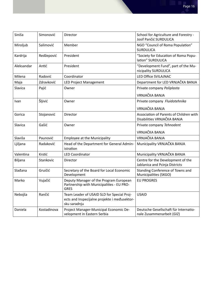| Siniša     | Simonović   | Director                                                                                                   | School for Agriculture and Forestry -<br>Josif Pančić SURDULICA        |  |  |  |
|------------|-------------|------------------------------------------------------------------------------------------------------------|------------------------------------------------------------------------|--|--|--|
| Miroljub   | Salimović   | Member                                                                                                     | NGO "Council of Roma Population"<br><b>SURDULICA</b>                   |  |  |  |
| Kardrija   | Redžepović  | President                                                                                                  | "Society for Education of Roma Popu-<br>lation" SURDULICA              |  |  |  |
| Aleksandar | Antić       | President                                                                                                  | "Development Fund", part of the Mu-<br>nicipality SURDULICA            |  |  |  |
| Milena     | Radović     | Coordinator                                                                                                | <b>LED Office SVILAJNAC</b>                                            |  |  |  |
| Maja       | Zdravković  | <b>LED Project Management</b>                                                                              | Department for LED VRNJAČKA BANJA                                      |  |  |  |
| Slavica    | Pajić       | Owner                                                                                                      | Private company Poliplasta                                             |  |  |  |
|            |             |                                                                                                            | <b>VRNJAČKA BANJA</b>                                                  |  |  |  |
| Ivan       | Šljivić     | Owner                                                                                                      | Private company Fluidotehnika                                          |  |  |  |
|            |             |                                                                                                            | VRNJAČKA BANJA                                                         |  |  |  |
| Gorica     | Stojanović  | Director                                                                                                   | Association of Parents of Children with<br>Disabilities VRNJAČKA BANJA |  |  |  |
| Slavica    | Gašić       | Owner                                                                                                      | Private company Tehnodent                                              |  |  |  |
|            |             |                                                                                                            | <b>VRNJAČKA BANJA</b>                                                  |  |  |  |
| Slaviša    | Paunović    | <b>Employee at the Municipality</b>                                                                        | <b>VRNJAČKA BANJA</b>                                                  |  |  |  |
| Ljiljana   | Radaković   | Head of the Department for General Admin-<br>istration                                                     | Municipality VRNJAČKA BANJA                                            |  |  |  |
| Valentina  | Krstić      | <b>LED Coordinator</b>                                                                                     | Municipality VRNJAČKA BANJA                                            |  |  |  |
| Biljana    | Stankovic   | Director                                                                                                   | Centre for the Development of the<br>Jablanica and Pcinja Districts    |  |  |  |
| Slađana    | Gruičić     | Secretary of the Board for Local Economic<br>Development                                                   | Standing Conference of Towns and<br>Municipalities (SKGO)              |  |  |  |
| Marko      | Vujačić     | Deputy Manager of the Program European<br>Partnership with Municipalities - EU PRO-<br><b>GRES</b>         | <b>EU PROGRES</b>                                                      |  |  |  |
| Nebojša    | Rančić      | Team Leader of USAID SLD for Special Proj-<br>ects and Inspecijalne projekte i međusektor-<br>sku saradnju | <b>USAID</b>                                                           |  |  |  |
| Daniela    | Kostadinova | Project Manager-Municipal Economic De-<br>velopment in Eastern Serbia                                      | Deutsche Gesellschaft für Internatio-<br>nale Zusammenarbeit (GIZ)     |  |  |  |